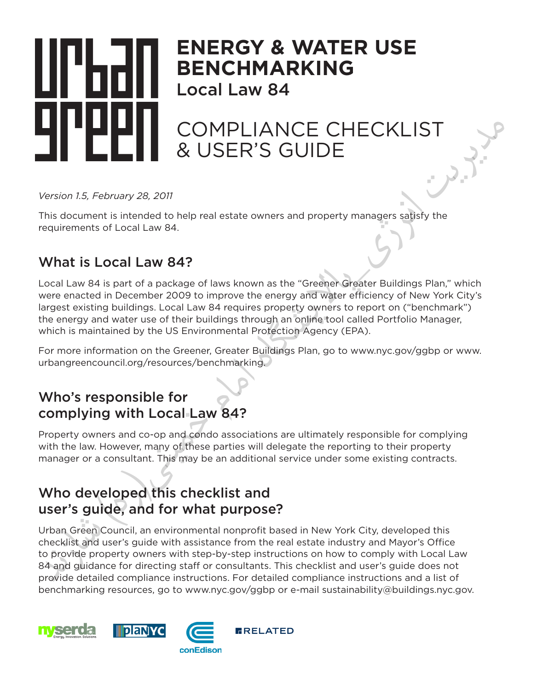

# **ENERGY & WATER USE BENCHMARKING**

Local Law 84

## COMPLIANCE CHECKLIST & USER'S GUIDE

*Version 1.5, February 28, 2011*

This document is intended to help real estate owners and property managers satisfy the requirements of Local Law 84.

### What is Local Law 84?

Local Law 84 is part of a package of laws known as the "Greener Greater Buildings Plan," which were enacted in December 2009 to improve the energy and water efficiency of New York City's largest existing buildings. Local Law 84 requires property owners to report on ("benchmark") the energy and water use of their buildings through an online tool called Portfolio Manager, which is maintained by the US Environmental Protection Agency (EPA).

For more information on the Greener, Greater Buildings Plan, go to www.nyc.gov/ggbp or www. urbangreencouncil.org/resources/benchmarking.

### Who's responsible for complying with Local Law 84?

Property owners and co-op and condo associations are ultimately responsible for complying with the law. However, many of these parties will delegate the reporting to their property manager or a consultant. This may be an additional service under some existing contracts.

### Who developed this checklist and user's guide, and for what purpose?

Urban Green Council, an environmental nonprofit based in New York City, developed this checklist and user's guide with assistance from the real estate industry and Mayor's Office to provide property owners with step-by-step instructions on how to comply with Local Law 84 and guidance for directing staff or consultants. This checklist and user's guide does not provide detailed compliance instructions. For detailed compliance instructions and a list of benchmarking resources, go to www.nyc.gov/ggbp or e-mail sustainability@buildings.nyc.gov. What is Local Law 84?<br>
Local Law 84 is part of a package of laws known as the "Greener Greater Building<br>
were enacted in December 2009 to improve the energy and waker efficiency of Ne<br>
largest existing buildings. Local Law

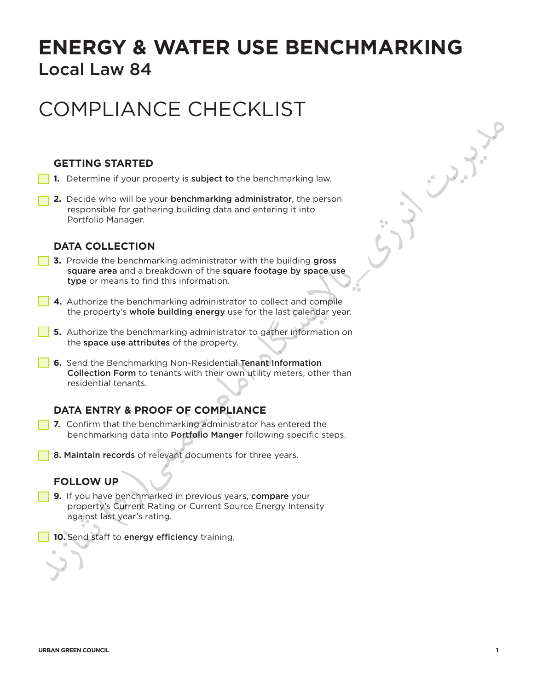### **ENERGY & WATER USE BENCHMARKING**  Local Law 84

# COMPLIANCE CHECKLIST

### **GETTING STARTED**

- **1.** Determine if your property is **subject to** the benchmarking law.
- **2.** Decide who will be your benchmarking administrator, the person responsible for gathering building data and entering it into Portfolio Manager.

#### **DATA COLLECTION**

- **3.** Provide the benchmarking administrator with the building gross square area and a breakdown of the square footage by space use type or means to find this information.
- **4.** Authorize the benchmarking administrator to collect and compile the property's whole building energy use for the last calendar year.
- **5.** Authorize the benchmarking administrator to gather information on the space use attributes of the property.
- **6.** Send the Benchmarking Non-Residential Tenant Information Collection Form to tenants with their own utility meters, other than residential tenants. DATA COLLECTION<br>
3. Provide the benchmerking administrator with the building grees<br>
strate area and a breakdown of the sature footage by space use<br>
1990 or means to find this information.<br>
4. Authorize the benchmarking a

### **DATA ENTRY & PROOF OF COMPLIANCE**

- **7.** Confirm that the benchmarking administrator has entered the benchmarking data into **Portfolio Manger** following specific steps.
- **8. Maintain records** of relevant documents for three years.

#### **FOLLOW UP**

- **9.** If you have benchmarked in previous years, compare your property's Current Rating or Current Source Energy Intensity against last year's rating.
	- **10.** Send staff to energy efficiency training.

بمجمعى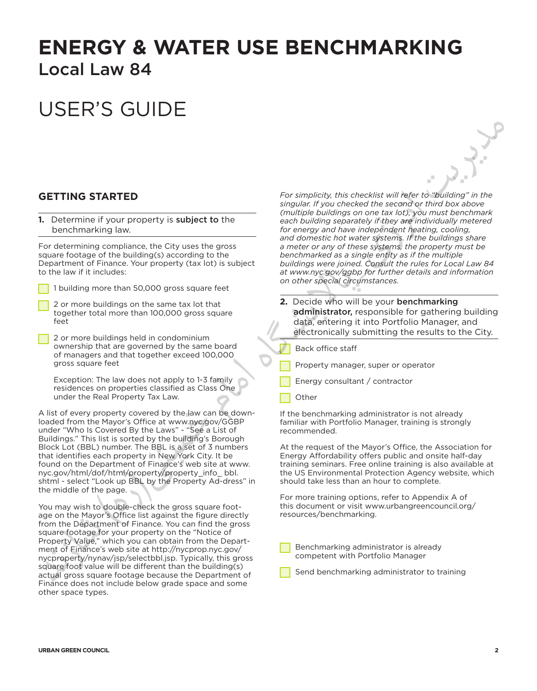### **ENERGY & WATER USE BENCHMARKING**  Local Law 84

# USER'S GUIDE

#### **GETTING STARTED**

**1.** Determine if your property is subject to the benchmarking law.

For determining compliance, the City uses the gross square footage of the building(s) according to the Department of Finance. Your property (tax lot) is subject to the law if it includes:

1 building more than 50,000 gross square feet

- 2 or more buildings on the same tax lot that together total more than 100,000 gross square feet
- 2 or more buildings held in condominium ownership that are governed by the same board of managers and that together exceed 100,000 gross square feet

Exception: The law does not apply to 1-3 family residences on properties classified as Class One under the Real Property Tax Law.

A list of every property covered by the law can be downloaded from the Mayor's Office at www.nyc.gov/GGBP under "Who Is Covered By the Laws" - "See a List of Buildings." This list is sorted by the building's Borough Block Lot (BBL) number. The BBL is a set of 3 numbers that identifies each property in New York City. It be found on the Department of Finance's web site at www. nyc.gov/html/dof/html/property/property\_info\_ bbl. shtml - select "Look up BBL by the Property Ad-dress" in the middle of the page.

You may wish to double-check the gross square footage on the Mayor's Office list against the figure directly from the Department of Finance. You can find the gross square footage for your property on the "Notice of Property Value," which you can obtain from the Department of Finance's web site at http://nycprop.nyc.gov/ nycproperty/nynav/jsp/selectbbl.jsp. Typically, this gross square foot value will be different than the building(s) actual gross square footage because the Department of Finance does not include below grade space and some other space types. Exidential of consideration of the constrained the City user the operation of the constrained in the constrained in the constrained in the constrained in the constrained in the constrained in the constrained in the constr

*For simplicity, this checklist will refer to "building" in the singular. If you checked the second or third box above (multiple buildings on one tax lot), you must benchmark each building separately if they are individually metered for energy and have independent heating, cooling, and domestic hot water systems. If the buildings share a meter or any of these systems, the property must be benchmarked as a single entity as if the multiple buildings were joined. Consult the rules for Local Law 84 at www.nyc.gov/ggbp for further details and information on other special circumstances.*

- **2.** Decide who will be your benchmarking administrator, responsible for gathering building data, entering it into Portfolio Manager, and electronically submitting the results to the City.
	- Back office staff
	- Property manager, super or operator
- Energy consultant / contractor
- Other

If the benchmarking administrator is not already familiar with Portfolio Manager, training is strongly recommended.

At the request of the Mayor's Office, the Association for Energy Affordability offers public and onsite half-day training seminars. Free online training is also available at the US Environmental Protection Agency website, which should take less than an hour to complete.

For more training options, refer to Appendix A of this document or visit www.urbangreencouncil.org/ resources/benchmarking.

Benchmarking administrator is already competent with Portfolio Manager

Send benchmarking administrator to training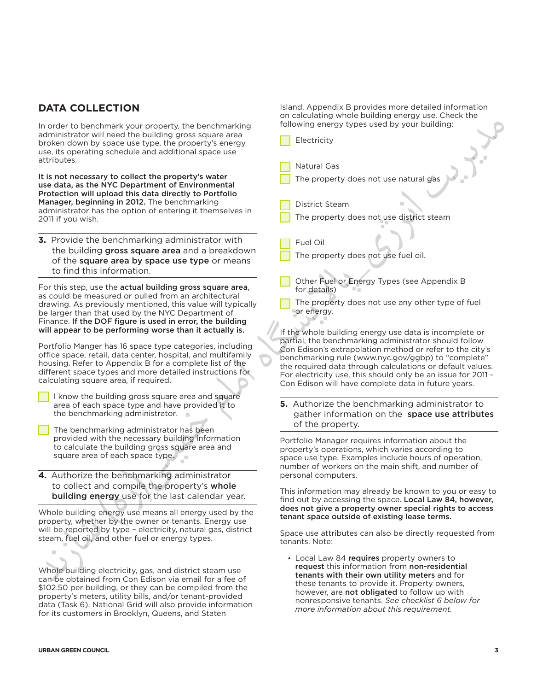### **DATA COLLECTION**

In order to benchmark your property, the benchmarking administrator will need the building gross square area broken down by space use type, the property's energy use, its operating schedule and additional space use attributes.

- I know the building gross square area and square area of each space type and have provided it to the benchmarking administrator.
- The benchmarking administrator has been provided with the necessary building information to calculate the building gross square area and square area of each space type.
- **4.** Authorize the benchmarking administrator to collect and compile the property's whole building energy use for the last calendar year.

Island. Appendix B provides more detailed information on calculating whole building energy use. Check the following energy types used by your building:

| administrator will need the building gross square area                                                                   |                                                                                                                    |
|--------------------------------------------------------------------------------------------------------------------------|--------------------------------------------------------------------------------------------------------------------|
| broken down by space use type, the property's energy                                                                     | Electricity                                                                                                        |
| use, its operating schedule and additional space use                                                                     |                                                                                                                    |
| attributes.                                                                                                              |                                                                                                                    |
|                                                                                                                          | Natural Gas                                                                                                        |
| It is not necessary to collect the property's water                                                                      | The property does not use natural gas                                                                              |
| use data, as the NYC Department of Environmental                                                                         |                                                                                                                    |
| Protection will upload this data directly to Portfolio                                                                   |                                                                                                                    |
| Manager, beginning in 2012. The benchmarking<br>administrator has the option of entering it themselves in                | <b>District Steam</b>                                                                                              |
| 2011 if you wish.                                                                                                        | The property does not use district steam                                                                           |
|                                                                                                                          |                                                                                                                    |
| 3. Provide the benchmarking administrator with                                                                           |                                                                                                                    |
|                                                                                                                          | Fuel Oil                                                                                                           |
| the building gross square area and a breakdown                                                                           | The property does not use fuel oil.                                                                                |
| of the square area by space use type or means                                                                            |                                                                                                                    |
| to find this information.                                                                                                |                                                                                                                    |
| For this step, use the actual building gross square area,                                                                | Other Fuel or Energy Types (see Appendix B                                                                         |
| as could be measured or pulled from an architectural                                                                     | for details)                                                                                                       |
| drawing. As previously mentioned, this value will typically                                                              | The property does not use any other type of fuel                                                                   |
| be larger than that used by the NYC Department of                                                                        | or energy.                                                                                                         |
| Finance. If the DOF figure is used in error, the building                                                                |                                                                                                                    |
| will appear to be performing worse than it actually is.                                                                  | If the whole building energy use data is incomplete or                                                             |
|                                                                                                                          | partial, the benchmarking administrator should follow                                                              |
| Portfolio Manger has 16 space type categories, including<br>office space, retail, data center, hospital, and multifamily | Con Edison's extrapolation method or refer to the city's                                                           |
| housing. Refer to Appendix B for a complete list of the                                                                  | benchmarking rule (www.nyc.gov/ggbp) to "complete"                                                                 |
| different space types and more detailed instructions for                                                                 | the required data through calculations or default values.                                                          |
| calculating square area, if required.                                                                                    | For electricity use, this should only be an issue for 2011 -                                                       |
|                                                                                                                          | Con Edison will have complete data in future years.                                                                |
| I know the building gross square area and square                                                                         |                                                                                                                    |
| area of each space type and have provided it to                                                                          | 5. Authorize the benchmarking administrator to                                                                     |
| the benchmarking administrator.                                                                                          | gather information on the space use attributes                                                                     |
| The benchmarking administrator has been                                                                                  | of the property.                                                                                                   |
| provided with the necessary building information                                                                         | Portfolio Manager requires information about the                                                                   |
| to calculate the building gross square area and                                                                          | property's operations, which varies according to                                                                   |
| square area of each space type.                                                                                          | space use type. Examples include hours of operation,                                                               |
|                                                                                                                          | number of workers on the main shift, and number of                                                                 |
| 4. Authorize the benchmarking administrator                                                                              | personal computers.                                                                                                |
| to collect and compile the property's whole                                                                              |                                                                                                                    |
| building energy use for the last calendar year.                                                                          | This information may already be known to you or easy to<br>find out by accessing the space. Local Law 84, however, |
|                                                                                                                          | does not give a property owner special rights to access                                                            |
| Whole building energy use means all energy used by the                                                                   | tenant space outside of existing lease terms.                                                                      |
| property, whether by the owner or tenants. Energy use                                                                    |                                                                                                                    |
| will be reported by type - electricity, natural gas, district<br>steam, fuel oil, and other fuel or energy types.        | Space use attributes can also be directly requested from                                                           |
|                                                                                                                          | tenants. Note:                                                                                                     |
| ш                                                                                                                        |                                                                                                                    |
|                                                                                                                          | • Local Law 84 requires property owners to<br>request this information from non-residential                        |
| Whole building electricity, gas, and district steam use                                                                  | tenants with their own utility meters and for                                                                      |
| can be obtained from Con Edison via email for a fee of                                                                   | these tenants to provide it. Property owners,                                                                      |
| \$102.50 per building, or they can be compiled from the                                                                  | however, are not obligated to follow up with                                                                       |
| property's meters, utility bills, and/or tenant-provided                                                                 | nonresponsive tenants. See checklist 6 below for                                                                   |
| data (Task 6). National Grid will also provide information<br>for its customers in Brooklyn, Queens, and Staten          | more information about this requirement.                                                                           |
|                                                                                                                          |                                                                                                                    |
|                                                                                                                          |                                                                                                                    |
|                                                                                                                          |                                                                                                                    |
| <b>URBAN GREEN COUNCIL</b>                                                                                               | 3                                                                                                                  |
|                                                                                                                          |                                                                                                                    |
|                                                                                                                          |                                                                                                                    |
|                                                                                                                          |                                                                                                                    |
|                                                                                                                          |                                                                                                                    |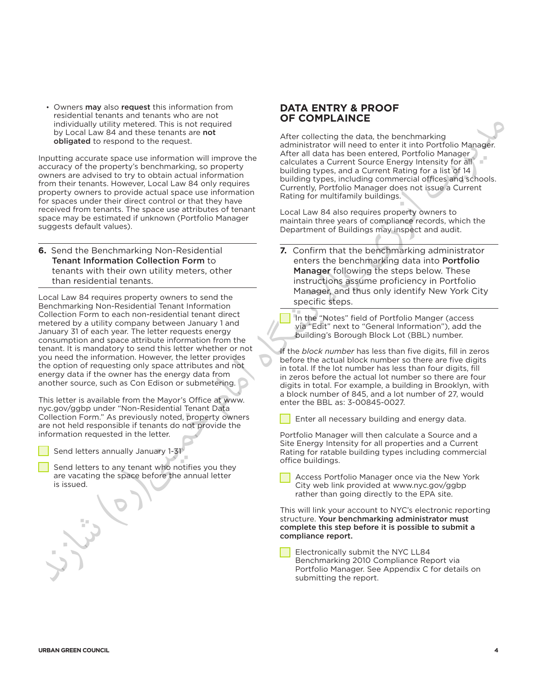• Owners may also request this information from residential tenants and tenants who are not individually utility metered. This is not required by Local Law 84 and these tenants are not obligated to respond to the request.

Inputting accurate space use information will improve the accuracy of the property's benchmarking, so property owners are advised to try to obtain actual information from their tenants. However, Local Law 84 only requires property owners to provide actual space use information for spaces under their direct control or that they have received from tenants. The space use attributes of tenant space may be estimated if unknown (Portfolio Manager suggests default values).

**6.** Send the Benchmarking Non-Residential Tenant Information Collection Form to tenants with their own utility meters, other than residential tenants.

Local Law 84 requires property owners to send the Benchmarking Non-Residential Tenant Information Collection Form to each non-residential tenant direct metered by a utility company between January 1 and January 31 of each year. The letter requests energy consumption and space attribute information from the tenant. It is mandatory to send this letter whether or not you need the information. However, the letter provides the option of requesting only space attributes and not energy data if the owner has the energy data from another source, such as Con Edison or submetering. 6. Send the Benchmarking Non-Residential  $\blacksquare$ <br>
Tenant information Collection Form to the send the benchmarking data term is equive over the time in the send that the send the base of the send to the send the sense in th

This letter is available from the Mayor's Office at www. nyc.gov/ggbp under "Non-Residential Tenant Data Collection Form." As previously noted, property owners are not held responsible if tenants do not provide the information requested in the letter.

Send letters annually January 1-31

Send letters to any tenant who notifies you they are vacating the space before the annual letter is issued.

#### **DATA ENTRY & PROOF OF COMPLAINCE**

After collecting the data, the benchmarking administrator will need to enter it into Portfolio Manager. After all data has been entered, Portfolio Manager calculates a Current Source Energy Intensity for all building types, and a Current Rating for a list of 14 building types, including commercial offices and schools. Currently, Portfolio Manager does not issue a Current Rating for multifamily buildings.

Local Law 84 also requires property owners to maintain three years of compliance records, which the Department of Buildings may inspect and audit.

**7.** Confirm that the benchmarking administrator enters the benchmarking data into Portfolio Manager following the steps below. These instructions assume proficiency in Portfolio Manager, and thus only identify New York City specific steps.

In the "Notes" field of Portfolio Manger (access via "Edit" next to "General Information"), add the building's Borough Block Lot (BBL) number.

If the *block number* has less than five digits, fill in zeros before the actual block number so there are five digits in total. If the lot number has less than four digits, fill in zeros before the actual lot number so there are four digits in total. For example, a building in Brooklyn, with a block number of 845, and a lot number of 27, would enter the BBL as: 3-00845-0027.

Enter all necessary building and energy data.

Portfolio Manager will then calculate a Source and a Site Energy Intensity for all properties and a Current Rating for ratable building types including commercial office buildings.

Access Portfolio Manager once via the New York City web link provided at www.nyc.gov/ggbp rather than going directly to the EPA site.

This will link your account to NYC's electronic reporting structure. Your benchmarking administrator must complete this step before it is possible to submit a compliance report.

Electronically submit the NYC LL84 Benchmarking 2010 Compliance Report via Portfolio Manager. See Appendix C for details on submitting the report.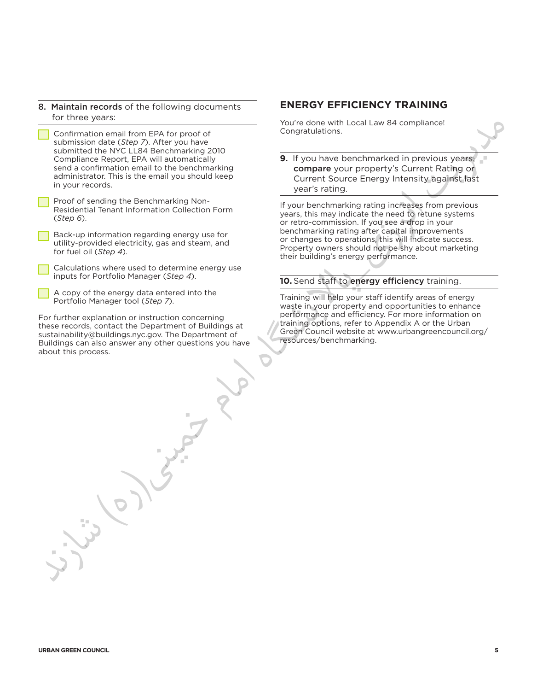- 8. Maintain records of the following documents for three years:
- Confirmation email from EPA for proof of submission date (*Step 7*). After you have submitted the NYC LL84 Benchmarking 2010 Compliance Report, EPA will automatically send a confirmation email to the benchmarking administrator. This is the email you should keep in your records.
- Proof of sending the Benchmarking Non-Residential Tenant Information Collection Form (*Step 6*).
- Back-up information regarding energy use for utility-provided electricity, gas and steam, and for fuel oil (*Step 4*).

Calculations where used to determine energy use inputs for Portfolio Manager (*Step 4*).

A copy of the energy data entered into the Portfolio Manager tool (*Step 7*).

For further explanation or instruction concerning these records, contact the Department of Buildings at sustainability@buildings.nyc.gov. The Department of Buildings can also answer any other questions you have about this process.  $\frac{1}{2}$ ( $\frac{1}{2}$ (state) or order to the distribution where used to determine energy use<br>
from the light of the state of determine energy use<br>  $\frac{1}{2}$ Calculations where used to determine energy users and determin

#### **ENERGY EFFICIENCY TRAINING**

You're done with Local Law 84 compliance! Congratulations.

**9.** If you have benchmarked in previous years, compare your property's Current Rating or Current Source Energy Intensity against last year's rating.

If your benchmarking rating increases from previous years, this may indicate the need to retune systems or retro-commission. If you see a drop in your benchmarking rating after capital improvements or changes to operations, this will indicate success. Property owners should not be shy about marketing their building's energy performance.

#### **10.** Send staff to energy efficiency training.

Training will help your staff identify areas of energy waste in your property and opportunities to enhance performance and efficiency. For more information on training options, refer to Appendix A or the Urban Green Council website at www.urbangreencouncil.org/ resources/benchmarking.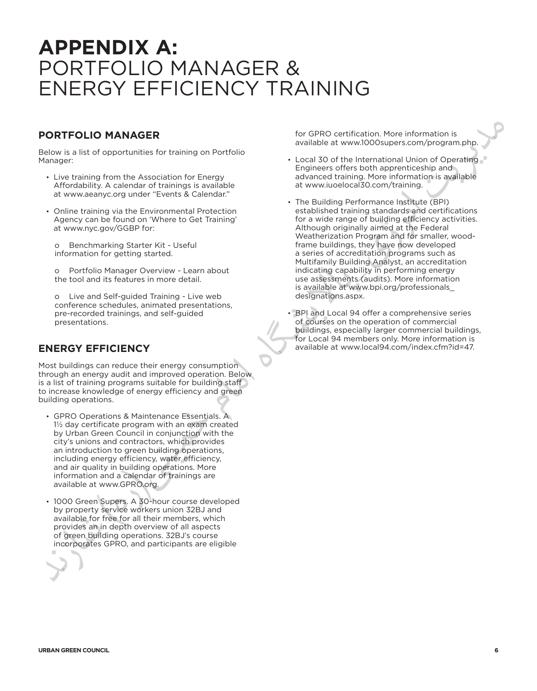### **APPENDIX A:**  PORTFOLIO MANAGER & ENERGY EFFICIENCY TRAINING

#### **PORTFOLIO MANAGER**

Below is a list of opportunities for training on Portfolio Manager:

- Live training from the Association for Energy Affordability. A calendar of trainings is available at www.aeanyc.org under "Events & Calendar."
- Online training via the Environmental Protection Agency can be found on 'Where to Get Training' at www.nyc.gov/GGBP for:
	- o Benchmarking Starter Kit Useful information for getting started.

o Portfolio Manager Overview - Learn about the tool and its features in more detail.

o Live and Self-guided Training - Live web conference schedules, animated presentations, pre-recorded trainings, and self-guided presentations.

### **ENERGY EFFICIENCY**

Most buildings can reduce their energy consumption through an energy audit and improved operation. Below is a list of training programs suitable for building staff to increase knowledge of energy efficiency and green building operations.

- GPRO Operations & Maintenance Essentials. A 1½ day certificate program with an exam created by Urban Green Council in conjunction with the city's unions and contractors, which provides an introduction to green building operations, including energy efficiency, water efficiency, and air quality in building operations. More information and a calendar of trainings are available at www.GPRO.org. o Renchmentary Starter Kiri-Useful in the substitute of the startest of the startest of the startest of the startest of the startest of the startest of the startest of the startest of the startest of the startest of the st
	- 1000 Green Supers. A 30-hour course developed by property service workers union 32BJ and available for free for all their members, which provides an in depth overview of all aspects of green building operations. 32BJ's course incorporates GPRO, and participants are eligible

for GPRO certification. More information is available at www.1000supers.com/program.php.

- Local 30 of the International Union of Operating Engineers offers both apprenticeship and advanced training. More information is available at www.iuoelocal30.com/training.
- The Building Performance Institute (BPI) established training standards and certifications for a wide range of building efficiency activities. Although originally aimed at the Federal Weatherization Program and for smaller, woodframe buildings, they have now developed a series of accreditation programs such as Multifamily Building Analyst, an accreditation indicating capability in performing energy use assessments (audits). More information is available at www.bpi.org/professionals\_ designations.aspx.
- • BPI and Local 94 offer a comprehensive series of courses on the operation of commercial buildings, especially larger commercial buildings, for Local 94 members only. More information is available at www.local94.com/index.cfm?id=47.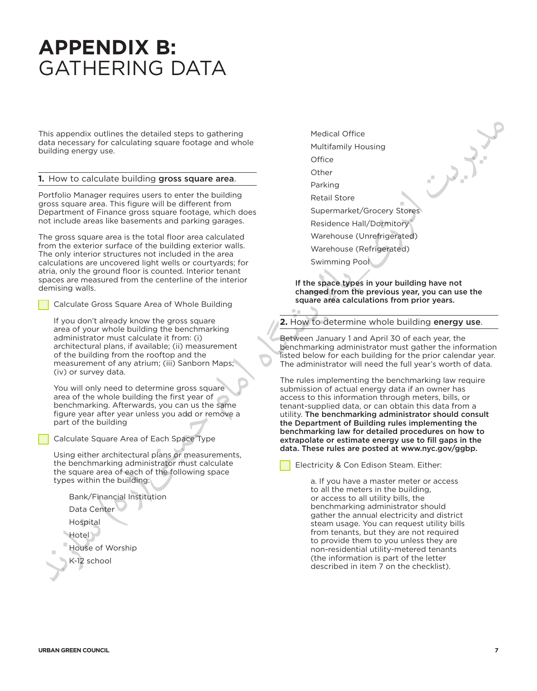### **APPENDIX B:**  GATHERING DATA

This appendix outlines the detailed steps to gathering data necessary for calculating square footage and whole building energy use.

#### **1.** How to calculate building gross square area.

Portfolio Manager requires users to enter the building gross square area. This figure will be different from Department of Finance gross square footage, which does not include areas like basements and parking garages.

The gross square area is the total floor area calculated from the exterior surface of the building exterior walls. The only interior structures not included in the area calculations are uncovered light wells or courtyards; for atria, only the ground floor is counted. Interior tenant spaces are measured from the centerline of the interior demising walls. The only interesting to the stationary area of the building the proposal of the interesting of the stationary and the stationary and the stationary and the stationary and the stationary and the stationary and the station

Calculate Gross Square Area of Whole Building

If you don't already know the gross square area of your whole building the benchmarking administrator must calculate it from: (i) architectural plans, if available; (ii) measurement of the building from the rooftop and the measurement of any atrium; (iii) Sanborn Maps; (iv) or survey data.

You will only need to determine gross square area of the whole building the first year of benchmarking. Afterwards, you can us the same figure year after year unless you add or remove a part of the building

Calculate Square Area of Each Space Type

Using either architectural plans or measurements, the benchmarking administrator must calculate the square area of each of the following space types within the building:

Bank/Financial Institution

- Data Center
- Hospital
- Hotel<sup>1</sup>
- House of Worship
- K-12 school

Medical Office Multifamily Housing **Office** Other Parking Retail Store Supermarket/Grocery Stores Residence Hall/Dormitory Warehouse (Unrefrigerated) Warehouse (Refrigerated)

Swimming Pool

If the space types in your building have not changed from the previous year, you can use the square area calculations from prior years.

**2.** How to determine whole building energy use.

Between January 1 and April 30 of each year, the benchmarking administrator must gather the information listed below for each building for the prior calendar year. The administrator will need the full year's worth of data.

The rules implementing the benchmarking law require submission of actual energy data if an owner has access to this information through meters, bills, or tenant-supplied data, or can obtain this data from a utility. The benchmarking administrator should consult the Department of Building rules implementing the benchmarking law for detailed procedures on how to extrapolate or estimate energy use to fill gaps in the data. These rules are posted at www.nyc.gov/ggbp.

Electricity & Con Edison Steam. Either:

a. If you have a master meter or access to all the meters in the building, or access to all utility bills, the benchmarking administrator should gather the annual electricity and district steam usage. You can request utility bills from tenants, but they are not required to provide them to you unless they are non-residential utility-metered tenants (the information is part of the letter described in item 7 on the checklist).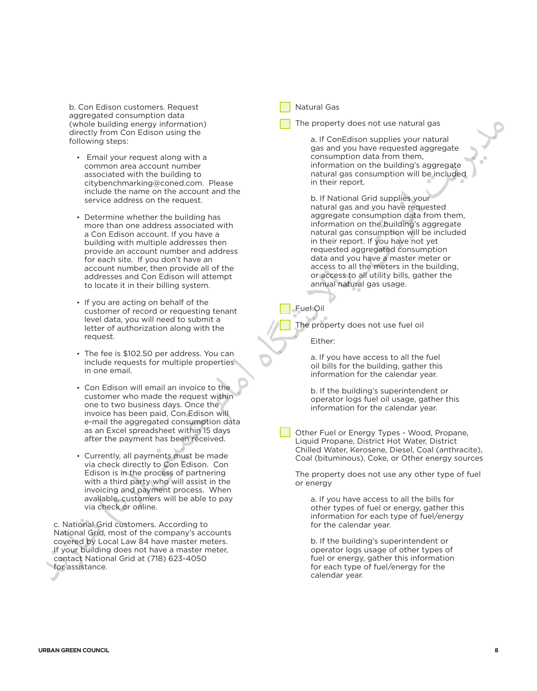b. Con Edison customers. Request aggregated consumption data (whole building energy information) directly from Con Edison using the following steps:

- • Email your request along with a common area account number associated with the building to citybenchmarking@coned.com. Please include the name on the account and the service address on the request.
- Determine whether the building has more than one address associated with a Con Edison account. If you have a building with multiple addresses then provide an account number and address for each site. If you don't have an account number, then provide all of the addresses and Con Edison will attempt to locate it in their billing system.
- If you are acting on behalf of the customer of record or requesting tenant level data, you will need to submit a letter of authorization along with the request.
- The fee is \$102.50 per address. You can include requests for multiple properties in one email.
- • Con Edison will email an invoice to the customer who made the request within one to two business days. Once the invoice has been paid, Con Edison will e-mail the aggregated consumption data as an Excel spreadsheet within 15 days after the payment has been received.  $x = 0$ <br>  $y = 0$ <br>  $y = 0$ <br>  $y = 0$ <br>  $y = 0$ <br>  $y = 0$ <br>  $y = 0$ <br>  $y = 0$ <br>  $y = 0$ <br>  $y = 0$ <br>  $y = 0$ <br>  $y = 0$ <br>  $y = 0$ <br>  $y = 0$ <br>  $y = 0$ <br>  $y = 0$ <br>  $y = 0$ <br>  $y = 0$ <br>  $y = 0$ <br>  $y = 0$ <br>  $y = 0$ <br>  $y = 0$ <br>  $y = 0$ <br>  $y = 0$ <br>  $y = 0$ <br>  $y = 0$ <br>  $y = 0$ <br>  $y =$ 
	- • Currently, all payments must be made via check directly to Con Edison. Con Edison is in the process of partnering with a third party who will assist in the invoicing and payment process. When available, customers will be able to pay via check or online.

c. National Grid customers. According to National Grid, most of the company's accounts covered by Local Law 84 have master meters. If your building does not have a master meter, contact National Grid at (718) 623-4050 for assistance.

Natural Gas

The property does not use natural gas

a. If ConEdison supplies your natural gas and you have requested aggregate consumption data from them, information on the building's aggregate natural gas consumption will be included in their report.

b. If National Grid supplies your natural gas and you have requested aggregate consumption data from them, information on the building's aggregate natural gas consumption will be included in their report. If you have not yet requested aggregated consumption data and you have a master meter or access to all the meters in the building, or access to all utility bills, gather the annual natural gas usage.

#### Fuel Oil

The property does not use fuel oil

Either:

a. If you have access to all the fuel oil bills for the building, gather this information for the calendar year.

b. If the building's superintendent or operator logs fuel oil usage, gather this information for the calendar year.

Other Fuel or Energy Types - Wood, Propane, Liquid Propane, District Hot Water, District Chilled Water, Kerosene, Diesel, Coal (anthracite), Coal (bituminous), Coke, or Other energy sources

The property does not use any other type of fuel or energy

a. If you have access to all the bills for other types of fuel or energy, gather this information for each type of fuel/energy for the calendar year.

b. If the building's superintendent or operator logs usage of other types of fuel or energy, gather this information for each type of fuel/energy for the calendar year.